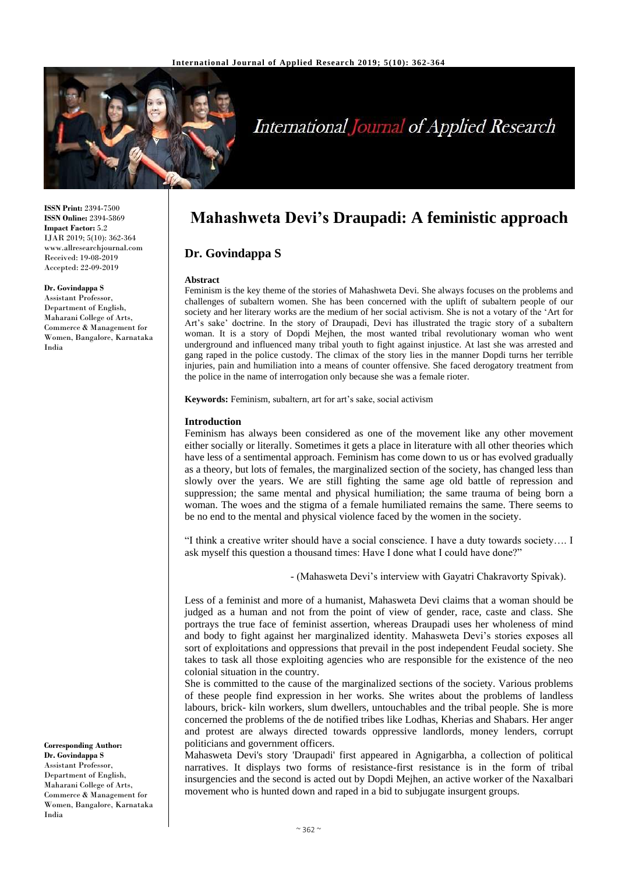

# International Journal of Applied Research

**ISSN Print:** 2394-7500 **ISSN Online:** 2394-5869 **Impact Factor:** 5.2 IJAR 2019; 5(10): 362-364 www.allresearchjournal.com Received: 19-08-2019 Accepted: 22-09-2019

#### **Dr. Govindappa S**

Assistant Professor, Department of English, Maharani College of Arts, Commerce & Management for Women, Bangalore, Karnataka India

**Corresponding Author: Dr. Govindappa S** Assistant Professor, Department of English, Maharani College of Arts, Commerce & Management for Women, Bangalore, Karnataka India

# **Mahashweta Devi's Draupadi: A feministic approach**

# **Dr. Govindappa S**

### **Abstract**

Feminism is the key theme of the stories of Mahashweta Devi. She always focuses on the problems and challenges of subaltern women. She has been concerned with the uplift of subaltern people of our society and her literary works are the medium of her social activism. She is not a votary of the 'Art for Art's sake' doctrine. In the story of Draupadi, Devi has illustrated the tragic story of a subaltern woman. It is a story of Dopdi Mejhen, the most wanted tribal revolutionary woman who went underground and influenced many tribal youth to fight against injustice. At last she was arrested and gang raped in the police custody. The climax of the story lies in the manner Dopdi turns her terrible injuries, pain and humiliation into a means of counter offensive. She faced derogatory treatment from the police in the name of interrogation only because she was a female rioter.

**Keywords:** Feminism, subaltern, art for art's sake, social activism

## **Introduction**

Feminism has always been considered as one of the movement like any other movement either socially or literally. Sometimes it gets a place in literature with all other theories which have less of a sentimental approach. Feminism has come down to us or has evolved gradually as a theory, but lots of females, the marginalized section of the society, has changed less than slowly over the years. We are still fighting the same age old battle of repression and suppression; the same mental and physical humiliation; the same trauma of being born a woman. The woes and the stigma of a female humiliated remains the same. There seems to be no end to the mental and physical violence faced by the women in the society.

"I think a creative writer should have a social conscience. I have a duty towards society…. I ask myself this question a thousand times: Have I done what I could have done?"

- (Mahasweta Devi's interview with Gayatri Chakravorty Spivak).

Less of a feminist and more of a humanist, Mahasweta Devi claims that a woman should be judged as a human and not from the point of view of gender, race, caste and class. She portrays the true face of feminist assertion, whereas Draupadi uses her wholeness of mind and body to fight against her marginalized identity. Mahasweta Devi's stories exposes all sort of exploitations and oppressions that prevail in the post independent Feudal society. She takes to task all those exploiting agencies who are responsible for the existence of the neo colonial situation in the country.

She is committed to the cause of the marginalized sections of the society. Various problems of these people find expression in her works. She writes about the problems of landless labours, brick- kiln workers, slum dwellers, untouchables and the tribal people. She is more concerned the problems of the de notified tribes like Lodhas, Kherias and Shabars. Her anger and protest are always directed towards oppressive landlords, money lenders, corrupt politicians and government officers.

Mahasweta Devi's story 'Draupadi' first appeared in Agnigarbha, a collection of political narratives. It displays two forms of resistance-first resistance is in the form of tribal insurgencies and the second is acted out by Dopdi Mejhen, an active worker of the Naxalbari movement who is hunted down and raped in a bid to subjugate insurgent groups.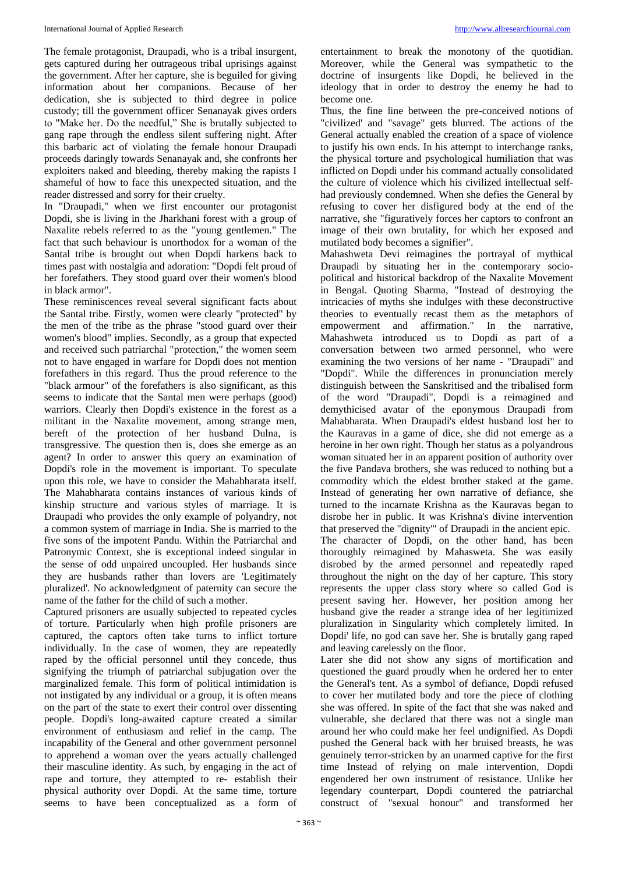The female protagonist, Draupadi, who is a tribal insurgent, gets captured during her outrageous tribal uprisings against the government. After her capture, she is beguiled for giving information about her companions. Because of her dedication, she is subjected to third degree in police custody; till the government officer Senanayak gives orders to "Make her. Do the needful," She is brutally subjected to gang rape through the endless silent suffering night. After this barbaric act of violating the female honour Draupadi proceeds daringly towards Senanayak and, she confronts her exploiters naked and bleeding, thereby making the rapists I shameful of how to face this unexpected situation, and the reader distressed and sorry for their cruelty.

In "Draupadi," when we first encounter our protagonist Dopdi, she is living in the Jharkhani forest with a group of Naxalite rebels referred to as the "young gentlemen." The fact that such behaviour is unorthodox for a woman of the Santal tribe is brought out when Dopdi harkens back to times past with nostalgia and adoration: "Dopdi felt proud of her forefathers. They stood guard over their women's blood in black armor".

These reminiscences reveal several significant facts about the Santal tribe. Firstly, women were clearly "protected" by the men of the tribe as the phrase "stood guard over their women's blood" implies. Secondly, as a group that expected and received such patriarchal "protection," the women seem not to have engaged in warfare for Dopdi does not mention forefathers in this regard. Thus the proud reference to the "black armour" of the forefathers is also significant, as this seems to indicate that the Santal men were perhaps (good) warriors. Clearly then Dopdi's existence in the forest as a militant in the Naxalite movement, among strange men, bereft of the protection of her husband Dulna, is transgressive. The question then is, does she emerge as an agent? In order to answer this query an examination of Dopdi's role in the movement is important. To speculate upon this role, we have to consider the Mahabharata itself. The Mahabharata contains instances of various kinds of kinship structure and various styles of marriage. It is Draupadi who provides the only example of polyandry, not a common system of marriage in India. She is married to the five sons of the impotent Pandu. Within the Patriarchal and Patronymic Context, she is exceptional indeed singular in the sense of odd unpaired uncoupled. Her husbands since they are husbands rather than lovers are 'Legitimately pluralized'. No acknowledgment of paternity can secure the name of the father for the child of such a mother.

Captured prisoners are usually subjected to repeated cycles of torture. Particularly when high profile prisoners are captured, the captors often take turns to inflict torture individually. In the case of women, they are repeatedly raped by the official personnel until they concede, thus signifying the triumph of patriarchal subjugation over the marginalized female. This form of political intimidation is not instigated by any individual or a group, it is often means on the part of the state to exert their control over dissenting people. Dopdi's long-awaited capture created a similar environment of enthusiasm and relief in the camp. The incapability of the General and other government personnel to apprehend a woman over the years actually challenged their masculine identity. As such, by engaging in the act of rape and torture, they attempted to re- establish their physical authority over Dopdi. At the same time, torture seems to have been conceptualized as a form of entertainment to break the monotony of the quotidian. Moreover, while the General was sympathetic to the doctrine of insurgents like Dopdi, he believed in the ideology that in order to destroy the enemy he had to become one.

Thus, the fine line between the pre-conceived notions of "civilized' and "savage" gets blurred. The actions of the General actually enabled the creation of a space of violence to justify his own ends. In his attempt to interchange ranks, the physical torture and psychological humiliation that was inflicted on Dopdi under his command actually consolidated the culture of violence which his civilized intellectual selfhad previously condemned. When she defies the General by refusing to cover her disfigured body at the end of the narrative, she "figuratively forces her captors to confront an image of their own brutality, for which her exposed and mutilated body becomes a signifier".

Mahashweta Devi reimagines the portrayal of mythical Draupadi by situating her in the contemporary sociopolitical and historical backdrop of the Naxalite Movement in Bengal. Quoting Sharma, "Instead of destroying the intricacies of myths she indulges with these deconstructive theories to eventually recast them as the metaphors of empowerment and affirmation." In the narrative, Mahashweta introduced us to Dopdi as part of a conversation between two armed personnel, who were examining the two versions of her name - "Draupadi" and "Dopdi". While the differences in pronunciation merely distinguish between the Sanskritised and the tribalised form of the word "Draupadi", Dopdi is a reimagined and demythicised avatar of the eponymous Draupadi from Mahabharata. When Draupadi's eldest husband lost her to the Kauravas in a game of dice, she did not emerge as a heroine in her own right. Though her status as a polyandrous woman situated her in an apparent position of authority over the five Pandava brothers, she was reduced to nothing but a commodity which the eldest brother staked at the game. Instead of generating her own narrative of defiance, she turned to the incarnate Krishna as the Kauravas began to disrobe her in public. It was Krishna's divine intervention that preserved the "dignity'" of Draupadi in the ancient epic. The character of Dopdi, on the other hand, has been thoroughly reimagined by Mahasweta. She was easily disrobed by the armed personnel and repeatedly raped throughout the night on the day of her capture. This story represents the upper class story where so called God is present saving her. However, her position among her husband give the reader a strange idea of her legitimized pluralization in Singularity which completely limited. In Dopdi' life, no god can save her. She is brutally gang raped and leaving carelessly on the floor.

Later she did not show any signs of mortification and questioned the guard proudly when he ordered her to enter the General's tent. As a symbol of defiance, Dopdi refused to cover her mutilated body and tore the piece of clothing she was offered. In spite of the fact that she was naked and vulnerable, she declared that there was not a single man around her who could make her feel undignified. As Dopdi pushed the General back with her bruised breasts, he was genuinely terror-stricken by an unarmed captive for the first time Instead of relying on male intervention, Dopdi engendered her own instrument of resistance. Unlike her legendary counterpart, Dopdi countered the patriarchal construct of "sexual honour" and transformed her